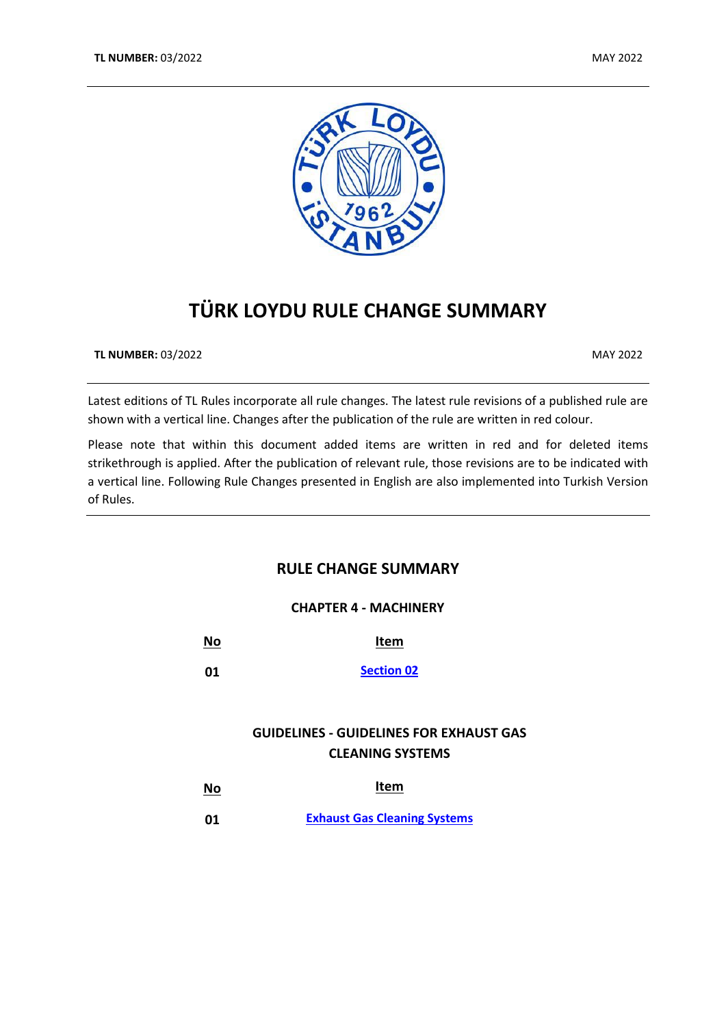

# **TÜRK LOYDU RULE CHANGE SUMMARY**

**TL NUMBER:** 03/2022 MAY 2022

Latest editions of TL Rules incorporate all rule changes. The latest rule revisions of a published rule are shown with a vertical line. Changes after the publication of the rule are written in red colour.

Please note that within this document added items are written in red and for deleted items strikethrough is applied. After the publication of relevant rule, those revisions are to be indicated with a vertical line. Following Rule Changes presented in English are also implemented into Turkish Version of Rules.

# **RULE CHANGE SUMMARY**

#### **CHAPTER 4 - MACHINERY**

| <u>No</u> | Item              |
|-----------|-------------------|
| 01        | <b>Section 02</b> |

# **GUIDELINES - GUIDELINES FOR EXHAUST GAS CLEANING SYSTEMS**

| $\underline{\mathsf{No}}$ | <b>Item</b>                         |
|---------------------------|-------------------------------------|
| 01                        | <b>Exhaust Gas Cleaning Systems</b> |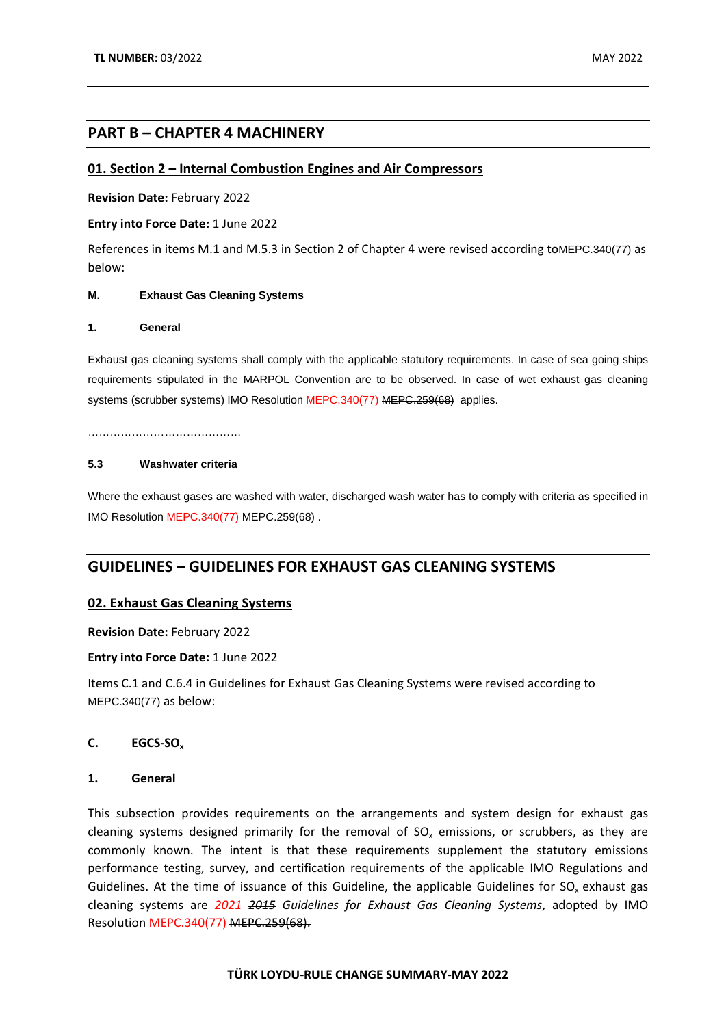### **PART B – CHAPTER 4 MACHINERY**

### <span id="page-1-0"></span>**01. Section 2 – Internal Combustion Engines and Air Compressors**

**Revision Date:** February 2022

**Entry into Force Date:** 1 June 2022

References in items M.1 and M.5.3 in Section 2 of Chapter 4 were revised according toMEPC.340(77) as below:

#### **M. Exhaust Gas Cleaning Systems**

#### **1. General**

Exhaust gas cleaning systems shall comply with the applicable statutory requirements. In case of sea going ships requirements stipulated in the MARPOL Convention are to be observed. In case of wet exhaust gas cleaning systems (scrubber systems) IMO Resolution MEPC.340(77) MEPC.259(68) applies.

……………………………………

#### **5.3 Washwater criteria**

Where the exhaust gases are washed with water, discharged wash water has to comply with criteria as specified in IMO Resolution MEPC.340(77) MEPC.259(68) .

## **GUIDELINES – GUIDELINES FOR EXHAUST GAS CLEANING SYSTEMS**

#### <span id="page-1-1"></span>**02. Exhaust Gas Cleaning Systems**

#### **Revision Date:** February 2022

#### **Entry into Force Date:** 1 June 2022

Items C.1 and C.6.4 in Guidelines for Exhaust Gas Cleaning Systems were revised according to MEPC.340(77) as below:

#### **C. EGCS-SOx**

#### **1. General**

This subsection provides requirements on the arrangements and system design for exhaust gas cleaning systems designed primarily for the removal of  $SO<sub>x</sub>$  emissions, or scrubbers, as they are commonly known. The intent is that these requirements supplement the statutory emissions performance testing, survey, and certification requirements of the applicable IMO Regulations and Guidelines. At the time of issuance of this Guideline, the applicable Guidelines for  $SO_x$  exhaust gas cleaning systems are *2021 2015 Guidelines for Exhaust Gas Cleaning Systems*, adopted by IMO Resolution MEPC.340(77) MEPC.259(68).